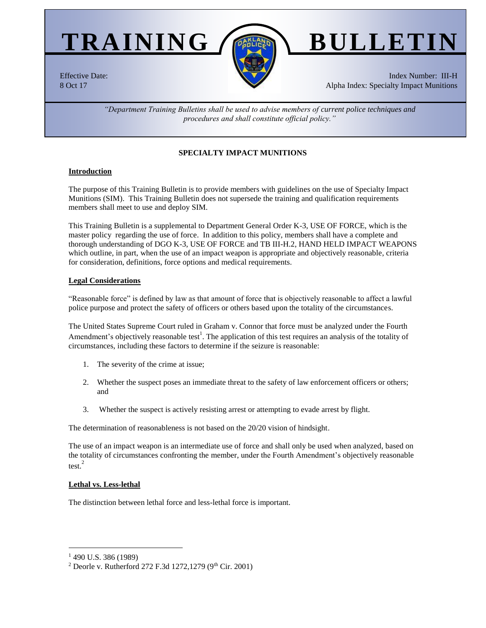

# Effective Date: 8 Oct 17

Index Number: III-H Alpha Index: Specialty Impact Munitions

*"Department Training Bulletins shall be used to advise members of current police techniques and procedures and shall constitute official policy."*

# **SPECIALTY IMPACT MUNITIONS**

# **Introduction**

The purpose of this Training Bulletin is to provide members with guidelines on the use of Specialty Impact Munitions (SIM). This Training Bulletin does not supersede the training and qualification requirements members shall meet to use and deploy SIM.

This Training Bulletin is a supplemental to Department General Order K-3, USE OF FORCE, which is the master policy regarding the use of force. In addition to this policy, members shall have a complete and thorough understanding of DGO K-3, USE OF FORCE and TB III-H.2, HAND HELD IMPACT WEAPONS which outline, in part, when the use of an impact weapon is appropriate and objectively reasonable, criteria for consideration, definitions, force options and medical requirements.

## **Legal Considerations**

"Reasonable force" is defined by law as that amount of force that is objectively reasonable to affect a lawful police purpose and protect the safety of officers or others based upon the totality of the circumstances.

The United States Supreme Court ruled in Graham v. Connor that force must be analyzed under the Fourth Amendment's objectively reasonable test<sup>1</sup>. The application of this test requires an analysis of the totality of circumstances, including these factors to determine if the seizure is reasonable:

- 1. The severity of the crime at issue;
- 2. Whether the suspect poses an immediate threat to the safety of law enforcement officers or others; and
- 3. Whether the suspect is actively resisting arrest or attempting to evade arrest by flight.

The determination of reasonableness is not based on the 20/20 vision of hindsight.

The use of an impact weapon is an intermediate use of force and shall only be used when analyzed, based on the totality of circumstances confronting the member, under the Fourth Amendment's objectively reasonable test. $^{2}$ 

### **Lethal vs. Less-lethal**

The distinction between lethal force and less-lethal force is important.

 $\overline{a}$ <sup>1</sup> 490 U.S. 386 (1989)

<sup>&</sup>lt;sup>2</sup> Deorle v. Rutherford 272 F.3d 1272, 1279 (9<sup>th</sup> Cir. 2001)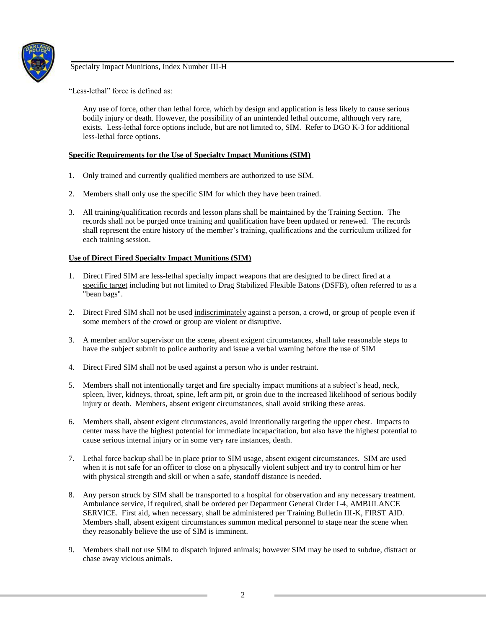

"Less-lethal" force is defined as:

Any use of force, other than lethal force, which by design and application is less likely to cause serious bodily injury or death. However, the possibility of an unintended lethal outcome, although very rare, exists. Less-lethal force options include, but are not limited to, SIM. Refer to DGO K-3 for additional less-lethal force options.

# **Specific Requirements for the Use of Specialty Impact Munitions (SIM)**

- 1. Only trained and currently qualified members are authorized to use SIM.
- 2. Members shall only use the specific SIM for which they have been trained.
- 3. All training/qualification records and lesson plans shall be maintained by the Training Section. The records shall not be purged once training and qualification have been updated or renewed. The records shall represent the entire history of the member's training, qualifications and the curriculum utilized for each training session.

# **Use of Direct Fired Specialty Impact Munitions (SIM)**

- 1. Direct Fired SIM are less-lethal specialty impact weapons that are designed to be direct fired at a specific target including but not limited to Drag Stabilized Flexible Batons (DSFB), often referred to as a "bean bags".
- 2. Direct Fired SIM shall not be used indiscriminately against a person, a crowd, or group of people even if some members of the crowd or group are violent or disruptive.
- 3. A member and/or supervisor on the scene, absent exigent circumstances, shall take reasonable steps to have the subject submit to police authority and issue a verbal warning before the use of SIM
- 4. Direct Fired SIM shall not be used against a person who is under restraint.
- 5. Members shall not intentionally target and fire specialty impact munitions at a subject's head, neck, spleen, liver, kidneys, throat, spine, left arm pit, or groin due to the increased likelihood of serious bodily injury or death. Members, absent exigent circumstances, shall avoid striking these areas.
- 6. Members shall, absent exigent circumstances, avoid intentionally targeting the upper chest. Impacts to center mass have the highest potential for immediate incapacitation, but also have the highest potential to cause serious internal injury or in some very rare instances, death.
- 7. Lethal force backup shall be in place prior to SIM usage, absent exigent circumstances. SIM are used when it is not safe for an officer to close on a physically violent subject and try to control him or her with physical strength and skill or when a safe, standoff distance is needed.
- 8. Any person struck by SIM shall be transported to a hospital for observation and any necessary treatment. Ambulance service, if required, shall be ordered per Department General Order I-4, AMBULANCE SERVICE. First aid, when necessary, shall be administered per Training Bulletin III-K, FIRST AID. Members shall, absent exigent circumstances summon medical personnel to stage near the scene when they reasonably believe the use of SIM is imminent.
- 9. Members shall not use SIM to dispatch injured animals; however SIM may be used to subdue, distract or chase away vicious animals.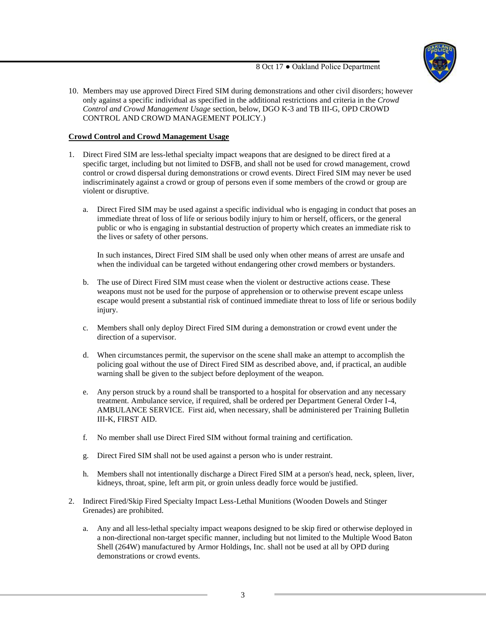

10. Members may use approved Direct Fired SIM during demonstrations and other civil disorders; however only against a specific individual as specified in the additional restrictions and criteria in the *Crowd Control and Crowd Management Usage* section, below, DGO K-3 and TB III-G, OPD CROWD CONTROL AND CROWD MANAGEMENT POLICY.)

# **Crowd Control and Crowd Management Usage**

- 1. Direct Fired SIM are less-lethal specialty impact weapons that are designed to be direct fired at a specific target, including but not limited to DSFB, and shall not be used for crowd management, crowd control or crowd dispersal during demonstrations or crowd events. Direct Fired SIM may never be used indiscriminately against a crowd or group of persons even if some members of the crowd or group are violent or disruptive.
	- a. Direct Fired SIM may be used against a specific individual who is engaging in conduct that poses an immediate threat of loss of life or serious bodily injury to him or herself, officers, or the general public or who is engaging in substantial destruction of property which creates an immediate risk to the lives or safety of other persons.

In such instances, Direct Fired SIM shall be used only when other means of arrest are unsafe and when the individual can be targeted without endangering other crowd members or bystanders.

- b. The use of Direct Fired SIM must cease when the violent or destructive actions cease. These weapons must not be used for the purpose of apprehension or to otherwise prevent escape unless escape would present a substantial risk of continued immediate threat to loss of life or serious bodily injury.
- c. Members shall only deploy Direct Fired SIM during a demonstration or crowd event under the direction of a supervisor.
- d. When circumstances permit, the supervisor on the scene shall make an attempt to accomplish the policing goal without the use of Direct Fired SIM as described above, and, if practical, an audible warning shall be given to the subject before deployment of the weapon.
- e. Any person struck by a round shall be transported to a hospital for observation and any necessary treatment. Ambulance service, if required, shall be ordered per Department General Order I-4, AMBULANCE SERVICE. First aid, when necessary, shall be administered per Training Bulletin III-K, FIRST AID.
- f. No member shall use Direct Fired SIM without formal training and certification.
- g. Direct Fired SIM shall not be used against a person who is under restraint.
- h. Members shall not intentionally discharge a Direct Fired SIM at a person's head, neck, spleen, liver, kidneys, throat, spine, left arm pit, or groin unless deadly force would be justified.
- 2. Indirect Fired/Skip Fired Specialty Impact Less-Lethal Munitions (Wooden Dowels and Stinger Grenades) are prohibited.
	- a. Any and all less-lethal specialty impact weapons designed to be skip fired or otherwise deployed in a non-directional non-target specific manner, including but not limited to the Multiple Wood Baton Shell (264W) manufactured by Armor Holdings, Inc. shall not be used at all by OPD during demonstrations or crowd events.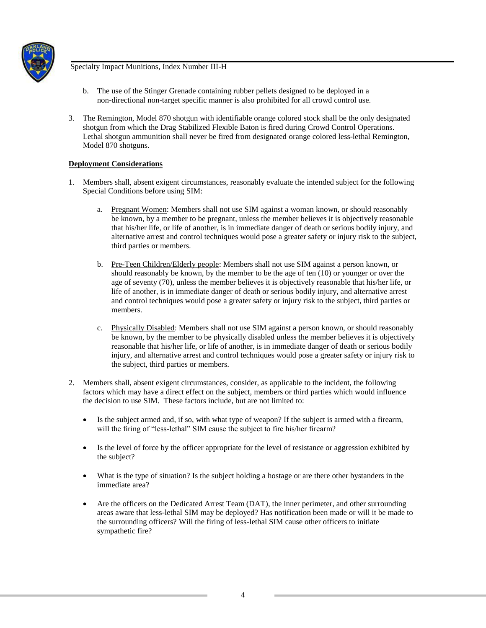

- b. The use of the Stinger Grenade containing rubber pellets designed to be deployed in a non-directional non-target specific manner is also prohibited for all crowd control use.
- 3. The Remington, Model 870 shotgun with identifiable orange colored stock shall be the only designated shotgun from which the Drag Stabilized Flexible Baton is fired during Crowd Control Operations. Lethal shotgun ammunition shall never be fired from designated orange colored less-lethal Remington, Model 870 shotguns.

# **Deployment Considerations**

- 1. Members shall, absent exigent circumstances, reasonably evaluate the intended subject for the following Special Conditions before using SIM:
	- a. Pregnant Women: Members shall not use SIM against a woman known, or should reasonably be known, by a member to be pregnant, unless the member believes it is objectively reasonable that his/her life, or life of another, is in immediate danger of death or serious bodily injury, and alternative arrest and control techniques would pose a greater safety or injury risk to the subject, third parties or members.
	- b. Pre-Teen Children/Elderly people: Members shall not use SIM against a person known, or should reasonably be known, by the member to be the age of ten (10) or younger or over the age of seventy (70), unless the member believes it is objectively reasonable that his/her life, or life of another, is in immediate danger of death or serious bodily injury, and alternative arrest and control techniques would pose a greater safety or injury risk to the subject, third parties or members.
	- c. Physically Disabled: Members shall not use SIM against a person known, or should reasonably be known, by the member to be physically disabled unless the member believes it is objectively reasonable that his/her life, or life of another, is in immediate danger of death or serious bodily injury, and alternative arrest and control techniques would pose a greater safety or injury risk to the subject, third parties or members.
- 2. Members shall, absent exigent circumstances, consider, as applicable to the incident, the following factors which may have a direct effect on the subject, members or third parties which would influence the decision to use SIM. These factors include, but are not limited to:
	- Is the subject armed and, if so, with what type of weapon? If the subject is armed with a firearm, will the firing of "less-lethal" SIM cause the subject to fire his/her firearm?
	- Is the level of force by the officer appropriate for the level of resistance or aggression exhibited by the subject?
	- What is the type of situation? Is the subject holding a hostage or are there other bystanders in the immediate area?
	- Are the officers on the Dedicated Arrest Team (DAT), the inner perimeter, and other surrounding areas aware that less-lethal SIM may be deployed? Has notification been made or will it be made to the surrounding officers? Will the firing of less-lethal SIM cause other officers to initiate sympathetic fire?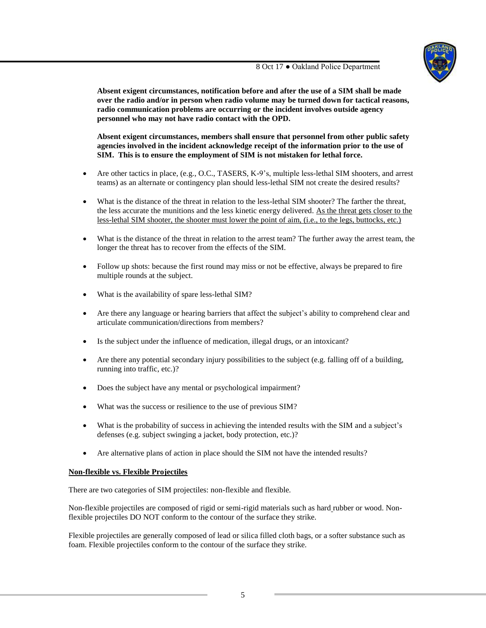

**Absent exigent circumstances, notification before and after the use of a SIM shall be made over the radio and/or in person when radio volume may be turned down for tactical reasons, radio communication problems are occurring or the incident involves outside agency personnel who may not have radio contact with the OPD.** 

**Absent exigent circumstances, members shall ensure that personnel from other public safety agencies involved in the incident acknowledge receipt of the information prior to the use of SIM. This is to ensure the employment of SIM is not mistaken for lethal force.**

- Are other tactics in place, (e.g., O.C., TASERS, K-9's, multiple less-lethal SIM shooters, and arrest teams) as an alternate or contingency plan should less-lethal SIM not create the desired results?
- What is the distance of the threat in relation to the less-lethal SIM shooter? The farther the threat, the less accurate the munitions and the less kinetic energy delivered. As the threat gets closer to the less-lethal SIM shooter, the shooter must lower the point of aim, (i.e., to the legs, buttocks, etc.)
- What is the distance of the threat in relation to the arrest team? The further away the arrest team, the longer the threat has to recover from the effects of the SIM.
- Follow up shots: because the first round may miss or not be effective, always be prepared to fire multiple rounds at the subject.
- What is the availability of spare less-lethal SIM?
- Are there any language or hearing barriers that affect the subject's ability to comprehend clear and articulate communication/directions from members?
- Is the subject under the influence of medication, illegal drugs, or an intoxicant?
- Are there any potential secondary injury possibilities to the subject (e.g. falling off of a building, running into traffic, etc.)?
- Does the subject have any mental or psychological impairment?
- What was the success or resilience to the use of previous SIM?
- What is the probability of success in achieving the intended results with the SIM and a subject's defenses (e.g. subject swinging a jacket, body protection, etc.)?
- Are alternative plans of action in place should the SIM not have the intended results?

### **Non-flexible vs. Flexible Projectiles**

There are two categories of SIM projectiles: non-flexible and flexible*.*

Non-flexible projectiles are composed of rigid or semi-rigid materials such as hard rubber or wood. Nonflexible projectiles DO NOT conform to the contour of the surface they strike.

Flexible projectiles are generally composed of lead or silica filled cloth bags, or a softer substance such as foam. Flexible projectiles conform to the contour of the surface they strike.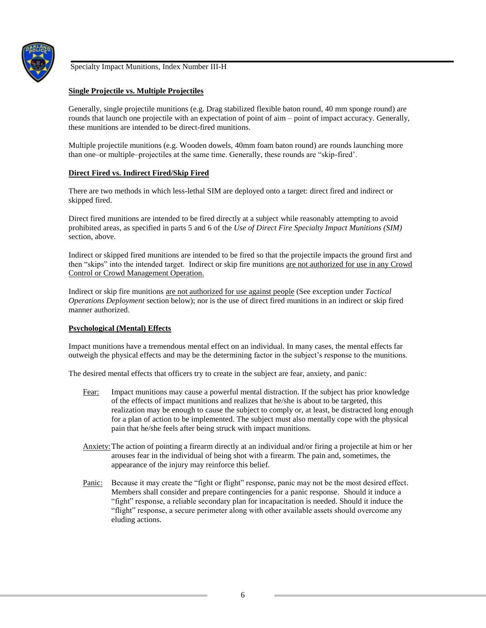

## **Single Projectile vs. Multiple Projectiles**

Generally, single projectile munitions (e.g. Drag stabilized flexible baton round, 40 mm sponge round) are rounds that launch one projectile with an expectation of point of aim – point of impact accuracy. Generally, these munitions are intended to be direct-fired munitions.

Multiple projectile munitions (e.g. Wooden dowels, 40mm foam baton round) are rounds launching more than one–or multiple–projectiles at the same time. Generally, these rounds are "skip-fired'.

### **Direct Fired vs. Indirect Fired/Skip Fired**

There are two methods in which less-lethal SIM are deployed onto a target: direct fired and indirect or skipped fired.

Direct fired munitions are intended to be fired directly at a subject while reasonably attempting to avoid prohibited areas, as specified in parts 5 and 6 of the *Use of Direct Fire Specialty Impact Munitions (SIM)* section, above.

Indirect or skipped fired munitions are intended to be fired so that the projectile impacts the ground first and then "skips" into the intended target. Indirect or skip fire munitions are not authorized for use in any Crowd Control or Crowd Management Operation.

Indirect or skip fire munitions are not authorized for use against people (See exception under *Tactical Operations Deployment* section below); nor is the use of direct fired munitions in an indirect or skip fired manner authorized.

### **Psychological (Mental) Effects**

Impact munitions have a tremendous mental effect on an individual. In many cases, the mental effects far outweigh the physical effects and may be the determining factor in the subject's response to the munitions.

The desired mental effects that officers try to create in the subject are fear, anxiety, and panic:

- Fear: Impact munitions may cause a powerful mental distraction. If the subject has prior knowledge of the effects of impact munitions and realizes that he/she is about to be targeted, this realization may be enough to cause the subject to comply or, at least, be distracted long enough for a plan of action to be implemented. The subject must also mentally cope with the physical pain that he/she feels after being struck with impact munitions.
- Anxiety:The action of pointing a firearm directly at an individual and/or firing a projectile at him or her arouses fear in the individual of being shot with a firearm. The pain and, sometimes, the appearance of the injury may reinforce this belief.
- Panic: Because it may create the "fight or flight" response, panic may not be the most desired effect. Members shall consider and prepare contingencies for a panic response. Should it induce a "fight" response, a reliable secondary plan for incapacitation is needed. Should it induce the "flight" response, a secure perimeter along with other available assets should overcome any eluding actions.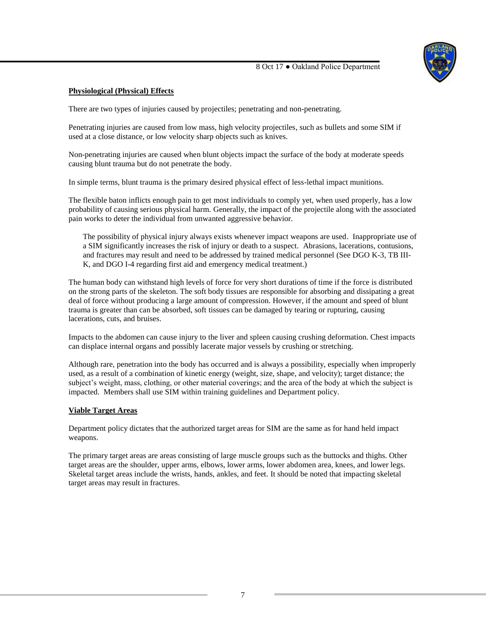

# **Physiological (Physical) Effects**

There are two types of injuries caused by projectiles; penetrating and non-penetrating.

Penetrating injuries are caused from low mass, high velocity projectiles, such as bullets and some SIM if used at a close distance, or low velocity sharp objects such as knives.

Non-penetrating injuries are caused when blunt objects impact the surface of the body at moderate speeds causing blunt trauma but do not penetrate the body.

In simple terms, blunt trauma is the primary desired physical effect of less-lethal impact munitions.

The flexible baton inflicts enough pain to get most individuals to comply yet, when used properly, has a low probability of causing serious physical harm. Generally, the impact of the projectile along with the associated pain works to deter the individual from unwanted aggressive behavior.

The possibility of physical injury always exists whenever impact weapons are used. Inappropriate use of a SIM significantly increases the risk of injury or death to a suspect. Abrasions, lacerations, contusions, and fractures may result and need to be addressed by trained medical personnel (See DGO K-3, TB III-K, and DGO I-4 regarding first aid and emergency medical treatment.)

The human body can withstand high levels of force for very short durations of time if the force is distributed on the strong parts of the skeleton. The soft body tissues are responsible for absorbing and dissipating a great deal of force without producing a large amount of compression. However, if the amount and speed of blunt trauma is greater than can be absorbed, soft tissues can be damaged by tearing or rupturing, causing lacerations, cuts, and bruises.

Impacts to the abdomen can cause injury to the liver and spleen causing crushing deformation. Chest impacts can displace internal organs and possibly lacerate major vessels by crushing or stretching.

Although rare, penetration into the body has occurred and is always a possibility, especially when improperly used, as a result of a combination of kinetic energy (weight, size, shape, and velocity); target distance; the subject's weight, mass, clothing, or other material coverings; and the area of the body at which the subject is impacted. Members shall use SIM within training guidelines and Department policy.

### **Viable Target Areas**

Department policy dictates that the authorized target areas for SIM are the same as for hand held impact weapons.

The primary target areas are areas consisting of large muscle groups such as the buttocks and thighs. Other target areas are the shoulder, upper arms, elbows, lower arms, lower abdomen area, knees, and lower legs. Skeletal target areas include the wrists, hands, ankles, and feet*.* It should be noted that impacting skeletal target areas may result in fractures.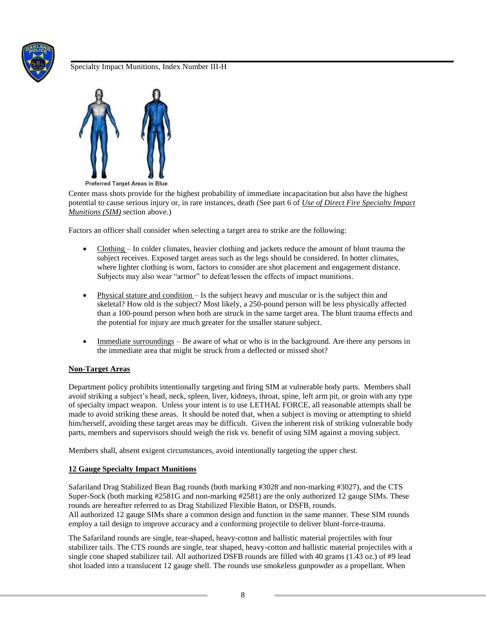



**Preferred Target Areas in Blue** 

Center mass shots provide for the highest probability of immediate incapacitation but also have the highest potential to cause serious injury or, in rare instances, death (See part 6 of *Use of Direct Fire Specialty Impact Munitions (SIM)* section above.)

Factors an officer shall consider when selecting a target area to strike are the following:

- Clothing In colder climates, heavier clothing and jackets reduce the amount of blunt trauma the subject receives. Exposed target areas such as the legs should be considered. In hotter climates, where lighter clothing is worn, factors to consider are shot placement and engagement distance. Subjects may also wear "armor" to defeat/lessen the effects of impact munitions.
- Physical stature and condition Is the subject heavy and muscular or is the subject thin and skeletal? How old is the subject? Most likely, a 250-pound person will be less physically affected than a 100-pound person when both are struck in the same target area. The blunt trauma effects and the potential for injury are much greater for the smaller stature subject.
- Immediate surroundings Be aware of what or who is in the background. Are there any persons in the immediate area that might be struck from a deflected or missed shot?

# **Non-Target Areas**

Department policy prohibits intentionally targeting and firing SIM at vulnerable body parts. Members shall avoid striking a subject's head, neck, spleen, liver, kidneys, throat, spine, left arm pit, or groin with any type of specialty impact weapon. Unless your intent is to use LETHAL FORCE, all reasonable attempts shall be made to avoid striking these areas. It should be noted that, when a subject is moving or attempting to shield him/herself, avoiding these target areas may be difficult. Given the inherent risk of striking vulnerable body parts, members and supervisors should weigh the risk vs. benefit of using SIM against a moving subject.

Members shall, absent exigent circumstances, avoid intentionally targeting the upper chest.

# **12 Gauge Specialty Impact Munitions**

Safariland Drag Stabilized Bean Bag rounds (both marking #3028 and non-marking #3027), and the CTS Super-Sock (both marking #2581G and non-marking #2581) are the only authorized 12 gauge SIMs. These rounds are hereafter referred to as Drag Stabilized Flexible Baton, or DSFB, rounds. All authorized 12 gauge SIMs share a common design and function in the same manner. These SIM rounds employ a tail design to improve accuracy and a conforming projectile to deliver blunt-force-trauma.

The Safariland rounds are single, tear-shaped, heavy-cotton and ballistic material projectiles with four stabilizer tails. The CTS rounds are single, tear shaped, heavy-cotton and ballistic material projectiles with a single cone shaped stabilizer tail. All authorized DSFB rounds are filled with 40 grams (1.43 oz.) of #9 lead shot loaded into a translucent 12 gauge shell. The rounds use smokeless gunpowder as a propellant. When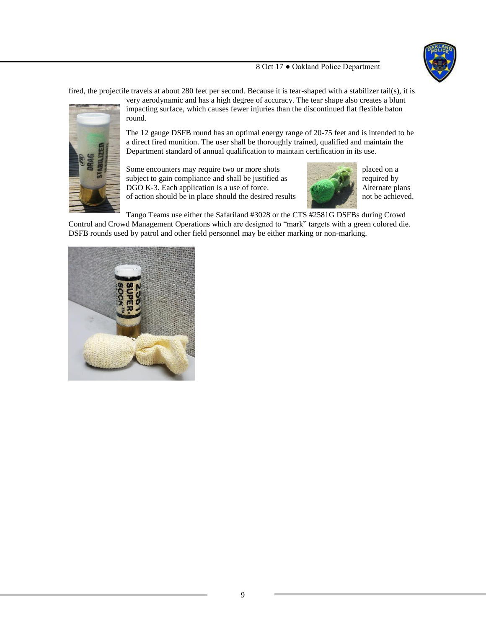

fired, the projectile travels at about 280 feet per second*.* Because it is tear-shaped with a stabilizer tail(s), it is



very aerodynamic and has a high degree of accuracy. The tear shape also creates a blunt impacting surface, which causes fewer injuries than the discontinued flat flexible baton round.

The 12 gauge DSFB round has an optimal energy range of 20-75 feet and is intended to be a direct fired munition. The user shall be thoroughly trained, qualified and maintain the Department standard of annual qualification to maintain certification in its use.

Some encounters may require two or more shots placed on a subject to gain compliance and shall be justified as required by DGO K-3. Each application is a use of force.<br>
of action should be in place should the desired results and hot be achieved. of action should be in place should the desired results



Tango Teams use either the Safariland #3028 or the CTS #2581G DSFBs during Crowd Control and Crowd Management Operations which are designed to "mark" targets with a green colored die. DSFB rounds used by patrol and other field personnel may be either marking or non-marking.

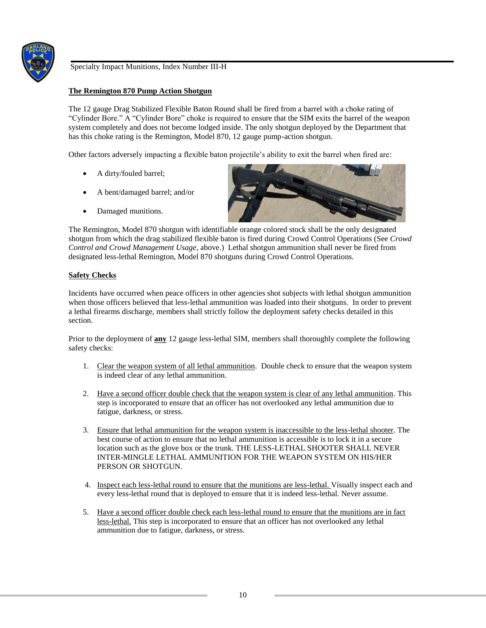

## **The Remington 870 Pump Action Shotgun**

The 12 gauge Drag Stabilized Flexible Baton Round shall be fired from a barrel with a choke rating of "Cylinder Bore." A "Cylinder Bore" choke is required to ensure that the SIM exits the barrel of the weapon system completely and does not become lodged inside. The only shotgun deployed by the Department that has this choke rating is the Remington, Model 870, 12 gauge pump-action shotgun.

Other factors adversely impacting a flexible baton projectile's ability to exit the barrel when fired are:

- A dirty/fouled barrel;
- A bent/damaged barrel; and/or
- Damaged munitions.



The Remington, Model 870 shotgun with identifiable orange colored stock shall be the only designated shotgun from which the drag stabilized flexible baton is fired during Crowd Control Operations (See *Crowd Control and Crowd Management Usage*, above.) Lethal shotgun ammunition shall never be fired from designated less-lethal Remington, Model 870 shotguns during Crowd Control Operations.

## **Safety Checks**

Incidents have occurred when peace officers in other agencies shot subjects with lethal shotgun ammunition when those officers believed that less-lethal ammunition was loaded into their shotguns. In order to prevent a lethal firearms discharge, members shall strictly follow the deployment safety checks detailed in this section.

Prior to the deployment of **any** 12 gauge less-lethal SIM, members shall thoroughly complete the following safety checks:

- 1. Clear the weapon system of all lethal ammunition. Double check to ensure that the weapon system is indeed clear of any lethal ammunition.
- 2. Have a second officer double check that the weapon system is clear of any lethal ammunition. This step is incorporated to ensure that an officer has not overlooked any lethal ammunition due to fatigue, darkness, or stress.
- 3. Ensure that lethal ammunition for the weapon system is inaccessible to the less-lethal shooter. The best course of action to ensure that no lethal ammunition is accessible is to lock it in a secure location such as the glove box or the trunk. THE LESS-LETHAL SHOOTER SHALL NEVER INTER-MINGLE LETHAL AMMUNITION FOR THE WEAPON SYSTEM ON HIS/HER PERSON OR SHOTGUN.
- 4. Inspect each less-lethal round to ensure that the munitions are less-lethal. Visually inspect each and every less-lethal round that is deployed to ensure that it is indeed less-lethal. Never assume.
- 5. Have a second officer double check each less-lethal round to ensure that the munitions are in fact less-lethal. This step is incorporated to ensure that an officer has not overlooked any lethal ammunition due to fatigue, darkness, or stress.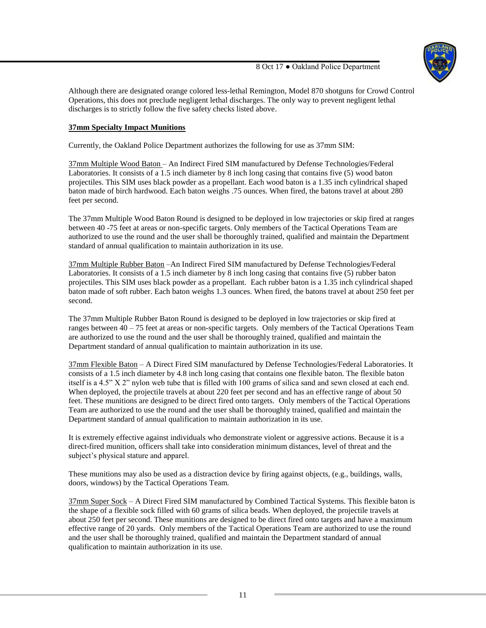

Although there are designated orange colored less-lethal Remington, Model 870 shotguns for Crowd Control Operations, this does not preclude negligent lethal discharges. The only way to prevent negligent lethal discharges is to strictly follow the five safety checks listed above.

# **37mm Specialty Impact Munitions**

Currently, the Oakland Police Department authorizes the following for use as 37mm SIM:

37mm Multiple Wood Baton – An Indirect Fired SIM manufactured by Defense Technologies/Federal Laboratories. It consists of a 1.5 inch diameter by 8 inch long casing that contains five (5) wood baton projectiles. This SIM uses black powder as a propellant. Each wood baton is a 1.35 inch cylindrical shaped baton made of birch hardwood. Each baton weighs .75 ounces. When fired, the batons travel at about 280 feet per second.

The 37mm Multiple Wood Baton Round is designed to be deployed in low trajectories or skip fired at ranges between 40 -75 feet at areas or non-specific targets. Only members of the Tactical Operations Team are authorized to use the round and the user shall be thoroughly trained, qualified and maintain the Department standard of annual qualification to maintain authorization in its use.

37mm Multiple Rubber Baton –An Indirect Fired SIM manufactured by Defense Technologies/Federal Laboratories. It consists of a 1.5 inch diameter by 8 inch long casing that contains five (5) rubber baton projectiles. This SIM uses black powder as a propellant. Each rubber baton is a 1.35 inch cylindrical shaped baton made of soft rubber. Each baton weighs 1.3 ounces. When fired, the batons travel at about 250 feet per second.

The 37mm Multiple Rubber Baton Round is designed to be deployed in low trajectories or skip fired at ranges between 40 – 75 feet at areas or non-specific targets. Only members of the Tactical Operations Team are authorized to use the round and the user shall be thoroughly trained, qualified and maintain the Department standard of annual qualification to maintain authorization in its use.

37mm Flexible Baton – A Direct Fired SIM manufactured by Defense Technologies/Federal Laboratories. It consists of a 1.5 inch diameter by 4.8 inch long casing that contains one flexible baton. The flexible baton itself is a 4.5" X 2" nylon web tube that is filled with 100 grams of silica sand and sewn closed at each end. When deployed, the projectile travels at about 220 feet per second and has an effective range of about 50 feet. These munitions are designed to be direct fired onto targets. Only members of the Tactical Operations Team are authorized to use the round and the user shall be thoroughly trained, qualified and maintain the Department standard of annual qualification to maintain authorization in its use.

It is extremely effective against individuals who demonstrate violent or aggressive actions. Because it is a direct-fired munition, officers shall take into consideration minimum distances, level of threat and the subject's physical stature and apparel.

These munitions may also be used as a distraction device by firing against objects, (e.g., buildings, walls, doors, windows) by the Tactical Operations Team.

37mm Super Sock – A Direct Fired SIM manufactured by Combined Tactical Systems. This flexible baton is the shape of a flexible sock filled with 60 grams of silica beads. When deployed, the projectile travels at about 250 feet per second. These munitions are designed to be direct fired onto targets and have a maximum effective range of 20 yards. Only members of the Tactical Operations Team are authorized to use the round and the user shall be thoroughly trained, qualified and maintain the Department standard of annual qualification to maintain authorization in its use.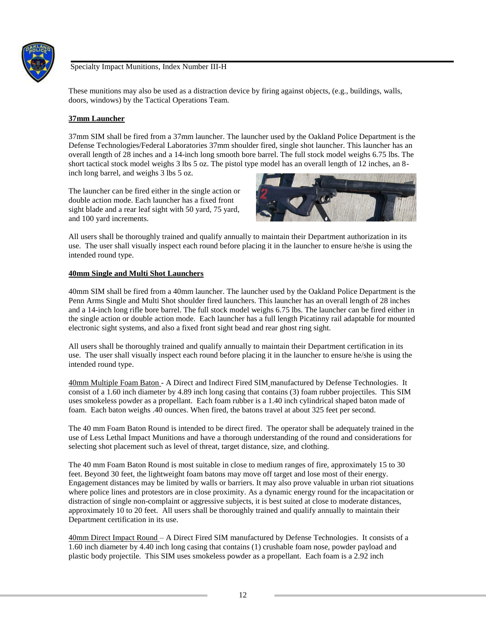

These munitions may also be used as a distraction device by firing against objects, (e.g., buildings, walls, doors, windows) by the Tactical Operations Team.

## **37mm Launcher**

37mm SIM shall be fired from a 37mm launcher. The launcher used by the Oakland Police Department is the Defense Technologies/Federal Laboratories 37mm shoulder fired, single shot launcher. This launcher has an overall length of 28 inches and a 14-inch long smooth bore barrel. The full stock model weighs 6.75 lbs. The short tactical stock model weighs 3 lbs 5 oz. The pistol type model has an overall length of 12 inches, an 8 inch long barrel, and weighs 3 lbs 5 oz.

The launcher can be fired either in the single action or double action mode. Each launcher has a fixed front sight blade and a rear leaf sight with 50 yard, 75 yard, and 100 yard increments.



All users shall be thoroughly trained and qualify annually to maintain their Department authorization in its use. The user shall visually inspect each round before placing it in the launcher to ensure he/she is using the intended round type.

## **40mm Single and Multi Shot Launchers**

40mm SIM shall be fired from a 40mm launcher. The launcher used by the Oakland Police Department is the Penn Arms Single and Multi Shot shoulder fired launchers. This launcher has an overall length of 28 inches and a 14-inch long rifle bore barrel. The full stock model weighs 6.75 lbs. The launcher can be fired either in the single action or double action mode. Each launcher has a full length Picatinny rail adaptable for mounted electronic sight systems, and also a fixed front sight bead and rear ghost ring sight.

All users shall be thoroughly trained and qualify annually to maintain their Department certification in its use. The user shall visually inspect each round before placing it in the launcher to ensure he/she is using the intended round type.

40mm Multiple Foam Baton - A Direct and Indirect Fired SIM manufactured by Defense Technologies. It consist of a 1.60 inch diameter by 4.89 inch long casing that contains (3) foam rubber projectiles. This SIM uses smokeless powder as a propellant. Each foam rubber is a 1.40 inch cylindrical shaped baton made of foam. Each baton weighs .40 ounces. When fired, the batons travel at about 325 feet per second.

The 40 mm Foam Baton Round is intended to be direct fired. The operator shall be adequately trained in the use of Less Lethal Impact Munitions and have a thorough understanding of the round and considerations for selecting shot placement such as level of threat, target distance, size, and clothing.

The 40 mm Foam Baton Round is most suitable in close to medium ranges of fire, approximately 15 to 30 feet. Beyond 30 feet, the lightweight foam batons may move off target and lose most of their energy. Engagement distances may be limited by walls or barriers. It may also prove valuable in urban riot situations where police lines and protestors are in close proximity. As a dynamic energy round for the incapacitation or distraction of single non-complaint or aggressive subjects, it is best suited at close to moderate distances, approximately 10 to 20 feet. All users shall be thoroughly trained and qualify annually to maintain their Department certification in its use.

40mm Direct Impact Round – A Direct Fired SIM manufactured by Defense Technologies. It consists of a 1.60 inch diameter by 4.40 inch long casing that contains (1) crushable foam nose, powder payload and plastic body projectile. This SIM uses smokeless powder as a propellant. Each foam is a 2.92 inch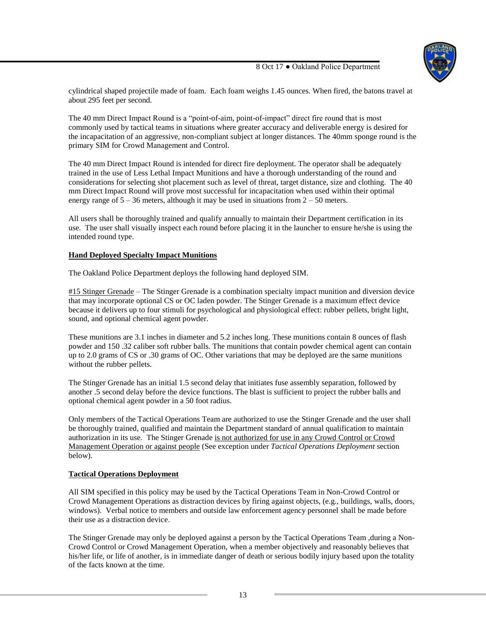

cylindrical shaped projectile made of foam. Each foam weighs 1.45 ounces. When fired, the batons travel at about 295 feet per second.

The 40 mm Direct Impact Round is a "point-of-aim, point-of-impact" direct fire round that is most commonly used by tactical teams in situations where greater accuracy and deliverable energy is desired for the incapacitation of an aggressive, non-compliant subject at longer distances. The 40mm sponge round is the primary SIM for Crowd Management and Control.

The 40 mm Direct Impact Round is intended for direct fire deployment. The operator shall be adequately trained in the use of Less Lethal Impact Munitions and have a thorough understanding of the round and considerations for selecting shot placement such as level of threat, target distance, size and clothing. The 40 mm Direct Impact Round will prove most successful for incapacitation when used within their optimal energy range of  $5 - 36$  meters, although it may be used in situations from  $2 - 50$  meters.

All users shall be thoroughly trained and qualify annually to maintain their Department certification in its use. The user shall visually inspect each round before placing it in the launcher to ensure he/she is using the intended round type.

# **Hand Deployed Specialty Impact Munitions**

The Oakland Police Department deploys the following hand deployed SIM.

#15 Stinger Grenade – The Stinger Grenade is a combination specialty impact munition and diversion device that may incorporate optional CS or OC laden powder. The Stinger Grenade is a maximum effect device because it delivers up to four stimuli for psychological and physiological effect: rubber pellets, bright light, sound, and optional chemical agent powder.

These munitions are 3.1 inches in diameter and 5.2 inches long. These munitions contain 8 ounces of flash powder and 150 .32 caliber soft rubber balls. The munitions that contain powder chemical agent can contain up to 2.0 grams of CS or .30 grams of OC. Other variations that may be deployed are the same munitions without the rubber pellets.

The Stinger Grenade has an initial 1.5 second delay that initiates fuse assembly separation, followed by another .5 second delay before the device functions. The blast is sufficient to project the rubber balls and optional chemical agent powder in a 50 foot radius.

Only members of the Tactical Operations Team are authorized to use the Stinger Grenade and the user shall be thoroughly trained, qualified and maintain the Department standard of annual qualification to maintain authorization in its use. The Stinger Grenade is not authorized for use in any Crowd Control or Crowd Management Operation or against people (See exception under *Tactical Operations Deployment* section below).

### **Tactical Operations Deployment**

All SIM specified in this policy may be used by the Tactical Operations Team in Non-Crowd Control or Crowd Management Operations as distraction devices by firing against objects, (e.g., buildings, walls, doors, windows). Verbal notice to members and outside law enforcement agency personnel shall be made before their use as a distraction device.

The Stinger Grenade may only be deployed against a person by the Tactical Operations Team ,during a Non-Crowd Control or Crowd Management Operation, when a member objectively and reasonably believes that his/her life, or life of another, is in immediate danger of death or serious bodily injury based upon the totality of the facts known at the time.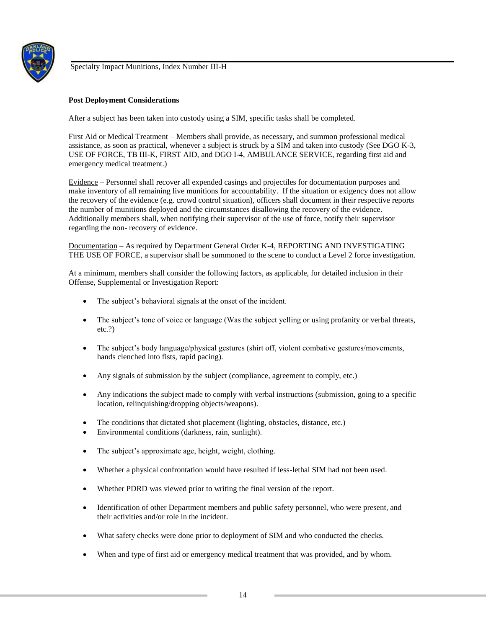

## **Post Deployment Considerations**

After a subject has been taken into custody using a SIM, specific tasks shall be completed.

First Aid or Medical Treatment – Members shall provide, as necessary, and summon professional medical assistance, as soon as practical, whenever a subject is struck by a SIM and taken into custody (See DGO K-3, USE OF FORCE, TB III-K, FIRST AID, and DGO I-4, AMBULANCE SERVICE, regarding first aid and emergency medical treatment.)

Evidence – Personnel shall recover all expended casings and projectiles for documentation purposes and make inventory of all remaining live munitions for accountability. If the situation or exigency does not allow the recovery of the evidence (e.g. crowd control situation), officers shall document in their respective reports the number of munitions deployed and the circumstances disallowing the recovery of the evidence. Additionally members shall, when notifying their supervisor of the use of force, notify their supervisor regarding the non- recovery of evidence.

Documentation – As required by Department General Order K-4, REPORTING AND INVESTIGATING THE USE OF FORCE, a supervisor shall be summoned to the scene to conduct a Level 2 force investigation.

At a minimum, members shall consider the following factors, as applicable, for detailed inclusion in their Offense, Supplemental or Investigation Report:

- The subject's behavioral signals at the onset of the incident.
- The subject's tone of voice or language (Was the subject yelling or using profanity or verbal threats, etc.?)
- The subject's body language/physical gestures (shirt off, violent combative gestures/movements, hands clenched into fists, rapid pacing).
- Any signals of submission by the subject (compliance, agreement to comply, etc.)
- Any indications the subject made to comply with verbal instructions (submission, going to a specific location, relinquishing/dropping objects/weapons).
- The conditions that dictated shot placement (lighting, obstacles, distance, etc.)
- Environmental conditions (darkness, rain, sunlight).
- The subject's approximate age, height, weight, clothing.
- Whether a physical confrontation would have resulted if less-lethal SIM had not been used.
- Whether PDRD was viewed prior to writing the final version of the report.
- Identification of other Department members and public safety personnel, who were present, and their activities and/or role in the incident.
- What safety checks were done prior to deployment of SIM and who conducted the checks.
- When and type of first aid or emergency medical treatment that was provided, and by whom.